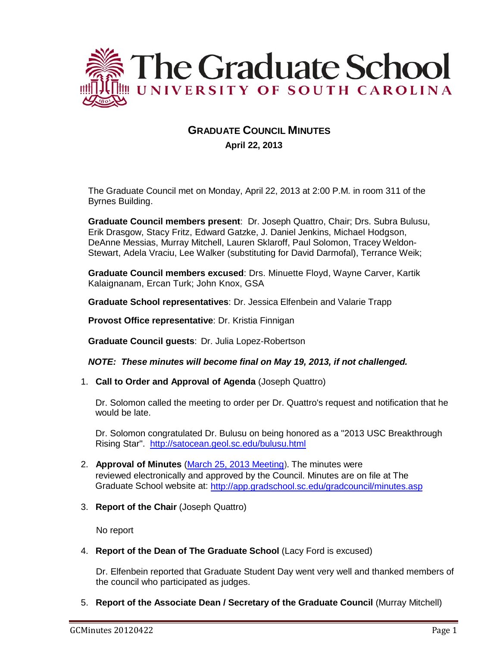

# **GRADUATE COUNCIL MINUTES April 22, 2013**

The Graduate Council met on Monday, April 22, 2013 at 2:00 P.M. in room 311 of the Byrnes Building.

**Graduate Council members present**: Dr. Joseph Quattro, Chair; Drs. Subra Bulusu, Erik Drasgow, Stacy Fritz, Edward Gatzke, J. Daniel Jenkins, Michael Hodgson, DeAnne Messias, Murray Mitchell, Lauren Sklaroff, Paul Solomon, Tracey Weldon-Stewart, Adela Vraciu, Lee Walker (substituting for David Darmofal), Terrance Weik;

**Graduate Council members excused**: Drs. Minuette Floyd, Wayne Carver, Kartik Kalaignanam, Ercan Turk; John Knox, GSA

**Graduate School representatives**: Dr. Jessica Elfenbein and Valarie Trapp

**Provost Office representative**: Dr. Kristia Finnigan

**Graduate Council guests**: Dr. Julia Lopez-Robertson

*NOTE: These minutes will become final on May 19, 2013, if not challenged.*

1. **Call to Order and Approval of Agenda** (Joseph Quattro)

Dr. Solomon called the meeting to order per Dr. Quattro's request and notification that he would be late.

Dr. Solomon congratulated Dr. Bulusu on being honored as a "2013 USC Breakthrough Rising Star". <http://satocean.geol.sc.edu/bulusu.html>

- 2. **Approval of Minutes** [\(March 25, 2013 Meeting](https://app.gradschool.sc.edu/gms/grad/gc/gc_submit.asp?gcitemid=184&academic_year=2012)). The minutes were reviewed electronically and approved by the Council. Minutes are on file at The Graduate School website at: <http://app.gradschool.sc.edu/gradcouncil/minutes.asp>
- 3. **Report of the Chair** (Joseph Quattro)

No report

4. **Report of the Dean of The Graduate School** (Lacy Ford is excused)

Dr. Elfenbein reported that Graduate Student Day went very well and thanked members of the council who participated as judges.

5. **Report of the Associate Dean / Secretary of the Graduate Council** (Murray Mitchell)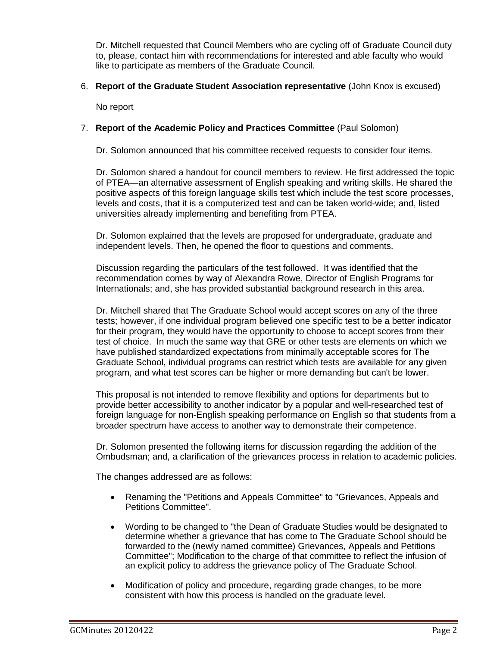Dr. Mitchell requested that Council Members who are cycling off of Graduate Council duty to, please, contact him with recommendations for interested and able faculty who would like to participate as members of the Graduate Council.

## 6. **Report of the Graduate Student Association representative** (John Knox is excused)

No report

# 7. **Report of the Academic Policy and Practices Committee** (Paul Solomon)

Dr. Solomon announced that his committee received requests to consider four items.

Dr. Solomon shared a handout for council members to review. He first addressed the topic of PTEA—an alternative assessment of English speaking and writing skills. He shared the positive aspects of this foreign language skills test which include the test score processes, levels and costs, that it is a computerized test and can be taken world-wide; and, listed universities already implementing and benefiting from PTEA.

Dr. Solomon explained that the levels are proposed for undergraduate, graduate and independent levels. Then, he opened the floor to questions and comments.

Discussion regarding the particulars of the test followed. It was identified that the recommendation comes by way of Alexandra Rowe, Director of English Programs for Internationals; and, she has provided substantial background research in this area.

Dr. Mitchell shared that The Graduate School would accept scores on any of the three tests; however, if one individual program believed one specific test to be a better indicator for their program, they would have the opportunity to choose to accept scores from their test of choice. In much the same way that GRE or other tests are elements on which we have published standardized expectations from minimally acceptable scores for The Graduate School, individual programs can restrict which tests are available for any given program, and what test scores can be higher or more demanding but can't be lower.

This proposal is not intended to remove flexibility and options for departments but to provide better accessibility to another indicator by a popular and well-researched test of foreign language for non-English speaking performance on English so that students from a broader spectrum have access to another way to demonstrate their competence.

Dr. Solomon presented the following items for discussion regarding the addition of the Ombudsman; and, a clarification of the grievances process in relation to academic policies.

The changes addressed are as follows:

- Renaming the "Petitions and Appeals Committee" to "Grievances, Appeals and Petitions Committee".
- Wording to be changed to "the Dean of Graduate Studies would be designated to determine whether a grievance that has come to The Graduate School should be forwarded to the (newly named committee) Grievances, Appeals and Petitions Committee"; Modification to the charge of that committee to reflect the infusion of an explicit policy to address the grievance policy of The Graduate School.
- Modification of policy and procedure, regarding grade changes, to be more consistent with how this process is handled on the graduate level.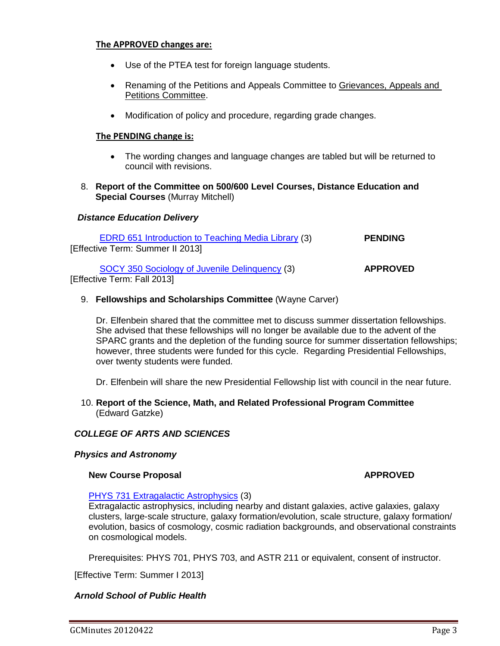### **The APPROVED changes are:**

- Use of the PTEA test for foreign language students.
- Renaming of the Petitions and Appeals Committee to Grievances, Appeals and Petitions Committee.
- Modification of policy and procedure, regarding grade changes.

### **The PENDING change is:**

- The wording changes and language changes are tabled but will be returned to council with revisions.
- 8. **Report of the Committee on 500/600 Level Courses, Distance Education and Special Courses** (Murray Mitchell)

# *Distance Education Delivery*

| EDRD 651 Introduction to Teaching Media Library (3) | <b>PENDING</b>  |
|-----------------------------------------------------|-----------------|
| [Effective Term: Summer II 2013]                    |                 |
| SOCY 350 Sociology of Juvenile Delinguency (3)      | <b>APPROVED</b> |
| [Effective Term: Fall 2013]                         |                 |

# 9. **Fellowships and Scholarships Committee** (Wayne Carver)

Dr. Elfenbein shared that the committee met to discuss summer dissertation fellowships. She advised that these fellowships will no longer be available due to the advent of the SPARC grants and the depletion of the funding source for summer dissertation fellowships; however, three students were funded for this cycle. Regarding Presidential Fellowships, over twenty students were funded.

Dr. Elfenbein will share the new Presidential Fellowship list with council in the near future.

10. **Report of the Science, Math, and Related Professional Program Committee** (Edward Gatzke)

# *COLLEGE OF ARTS AND SCIENCES*

# *Physics and Astronomy*

#### **New Course Proposal <b>APPROVED APPROVED**

#### [PHYS 731 Extragalactic Astrophysics](http://gradschool.sc.edu/facstaff/gradcouncil/2012/NCP_Phys731.pdf) (3)

Extragalactic astrophysics, including nearby and distant galaxies, active galaxies, galaxy clusters, large-scale structure, galaxy formation/evolution, scale structure, galaxy formation/ evolution, basics of cosmology, cosmic radiation backgrounds, and observational constraints on cosmological models.

Prerequisites: PHYS 701, PHYS 703, and ASTR 211 or equivalent, consent of instructor.

[Effective Term: Summer I 2013]

# *Arnold School of Public Health*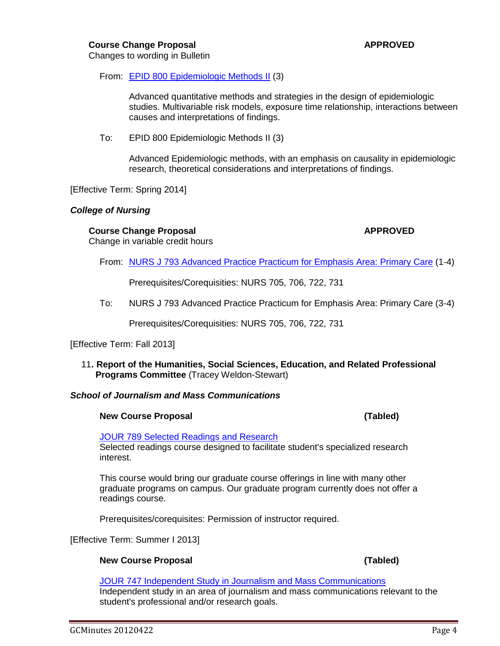### **Course Change Proposal <b>APPROVED APPROVED**

Changes to wording in Bulletin

From: [EPID 800 Epidemiologic Methods II](http://gradschool.sc.edu/facstaff/gradcouncil/2012/EPID%20800%20Epidemiologic%20Methods%20II%20CCP%20BCH%20u.pdf) (3)

Advanced quantitative methods and strategies in the design of epidemiologic studies. Multivariable risk models, exposure time relationship, interactions between causes and interpretations of findings.

To: EPID 800 Epidemiologic Methods II (3)

Advanced Epidemiologic methods, with an emphasis on causality in epidemiologic research, theoretical considerations and interpretations of findings.

[Effective Term: Spring 2014]

### *College of Nursing*

# **Course Change Proposal <b>APPROVED APPROVED**

Change in variable credit hours

From: [NURS J 793 Advanced Practice Practicum for Emphasis Area: Primary Care](http://gradschool.sc.edu/facstaff/gradcouncil/2012/NURS%20J%20793%20Advanced%20Practice%20Practicum%20for%20Emphasis%20Area%20Primary%20Care%20CCP.pdf) (1-4)

Prerequisites/Corequisities: NURS 705, 706, 722, 731

To: NURS J 793 Advanced Practice Practicum for Emphasis Area: Primary Care (3-4)

Prerequisites/Corequisities: NURS 705, 706, 722, 731

#### [Effective Term: Fall 2013]

11**. Report of the Humanities, Social Sciences, Education, and Related Professional Programs Committee** (Tracey Weldon-Stewart)

# *School of Journalism and Mass Communications*

#### **New Course Proposal (Tabled)**

[JOUR 789 Selected Readings and Research](http://gradschool.sc.edu/facstaff/gradcouncil/2012/JOUR%20789%20Selected%20Readings%20and%20Research%20NCP_Redacted.pdf)

Selected readings course designed to facilitate student's specialized research interest.

This course would bring our graduate course offerings in line with many other graduate programs on campus. Our graduate program currently does not offer a readings course.

Prerequisites/corequisites: Permission of instructor required.

[Effective Term: Summer I 2013]

# **New Course Proposal (Tabled)**

JOUR 747 Independent Study [in Journalism and Mass Communications](http://gradschool.sc.edu/facstaff/gradcouncil/2012/JOUR%20747%20Independent%20Study%20in%20Journalism%20and%20Mass%20Communications%20NCP_Redacted.pdf) Independent study in an area of journalism and mass communications relevant to the student's professional and/or research goals.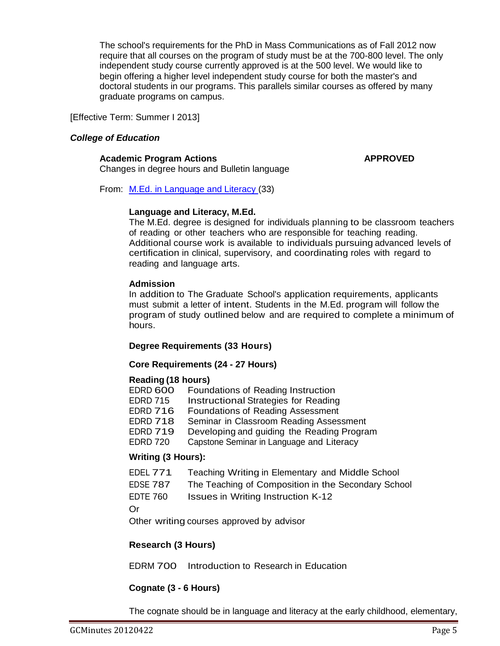The school's requirements for the PhD in Mass Communications as of Fall 2012 now require that all courses on the program of study must be at the 700-800 level. The only independent study course currently approved is at the 500 level. We would like to begin offering a higher level independent study course for both the master's and doctoral students in our programs. This parallels similar courses as offered by many graduate programs on campus.

[Effective Term: Summer I 2013]

# *College of Education*

# **Academic Program Actions APPROVED**

Changes in degree hours and Bulletin language

From: [M.Ed. in Language and Literacy](http://gradschool.sc.edu/facstaff/gradcouncil/2012/M.Ed.%20in%20Language%20and%20Literacy%20APA%20BCH.pdf) (33)

# **Language and Literacy, M.Ed.**

The M.Ed. degree is designed for individuals planning to be classroom teachers of reading or other teachers who are responsible for teaching reading. Additional course work is available to individuals pursuing advanced levels of certification in clinical, supervisory, and coordinating roles with regard to reading and language arts.

# **Admission**

In addition to The Graduate School's application requirements, applicants must submit a letter of intent. Students in the M.Ed. program will follow the program of study outlined below and are required to complete a minimum of hours.

# **Degree Requirements (33 Hours)**

# **Core Requirements (24 - 27 Hours)**

# **Reading (18 hours)**

| EDRD 600        | Foundations of Reading Instruction          |
|-----------------|---------------------------------------------|
| EDRD 715        | <b>Instructional Strategies for Reading</b> |
| EDRD 716        | Foundations of Reading Assessment           |
| EDRD 718        | Seminar in Classroom Reading Assessment     |
| <b>EDRD 719</b> | Developing and guiding the Reading Program  |
| <b>EDRD 720</b> | Capstone Seminar in Language and Literacy   |

# **Writing (3 Hours):**

| EDEL 771 | Teaching Writing in Elementary and Middle School |  |
|----------|--------------------------------------------------|--|
|----------|--------------------------------------------------|--|

- EDSE 787 The Teaching of Composition in the Secondary School
- EDTE 760 Issues in Writing Instruction K-12

Or

Other writing courses approved by advisor

# **Research (3 Hours)**

EDRM 700 Introduction to Research in Education

# **Cognate (3 - 6 Hours)**

The cognate should be in language and literacy at the early childhood, elementary,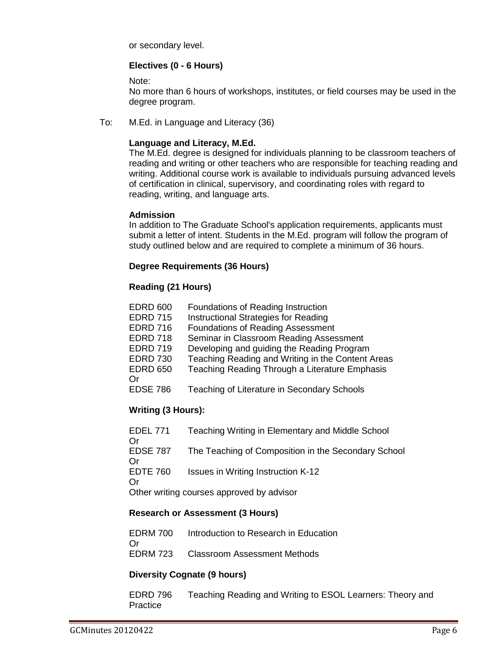or secondary level.

# **Electives (0 - 6 Hours)**

Note:

No more than 6 hours of workshops, institutes, or field courses may be used in the degree program.

To: M.Ed. in Language and Literacy (36)

# **Language and Literacy, M.Ed.**

The M.Ed. degree is designed for individuals planning to be classroom teachers of reading and writing or other teachers who are responsible for teaching reading and writing. Additional course work is available to individuals pursuing advanced levels of certification in clinical, supervisory, and coordinating roles with regard to reading, writing, and language arts.

### **Admission**

In addition to The Graduate School's application requirements, applicants must submit a letter of intent. Students in the M.Ed. program will follow the program of study outlined below and are required to complete a minimum of 36 hours.

# **Degree Requirements (36 Hours)**

# **Reading (21 Hours)**

| <b>EDRD 600</b> | Foundations of Reading Instruction                |
|-----------------|---------------------------------------------------|
| <b>EDRD 715</b> | Instructional Strategies for Reading              |
| <b>EDRD 716</b> | <b>Foundations of Reading Assessment</b>          |
| <b>EDRD 718</b> | Seminar in Classroom Reading Assessment           |
| <b>EDRD 719</b> | Developing and guiding the Reading Program        |
| <b>EDRD 730</b> | Teaching Reading and Writing in the Content Areas |
| <b>EDRD 650</b> | Teaching Reading Through a Literature Emphasis    |
| Or              |                                                   |
| <b>EDSE 786</b> | Teaching of Literature in Secondary Schools       |
|                 |                                                   |

# **Writing (3 Hours):**

| EDEL 771<br>Or        | Teaching Writing in Elementary and Middle School    |
|-----------------------|-----------------------------------------------------|
| EDSE 787<br>Οr        | The Teaching of Composition in the Secondary School |
| <b>EDTE 760</b><br>Or | Issues in Writing Instruction K-12                  |
|                       | Other writing courses approved by advisor           |

# **Research or Assessment (3 Hours)**

EDRM 700 Introduction to Research in Education Or EDRM 723 Classroom Assessment Methods

# **Diversity Cognate (9 hours)**

EDRD 796 Teaching Reading and Writing to ESOL Learners: Theory and Practice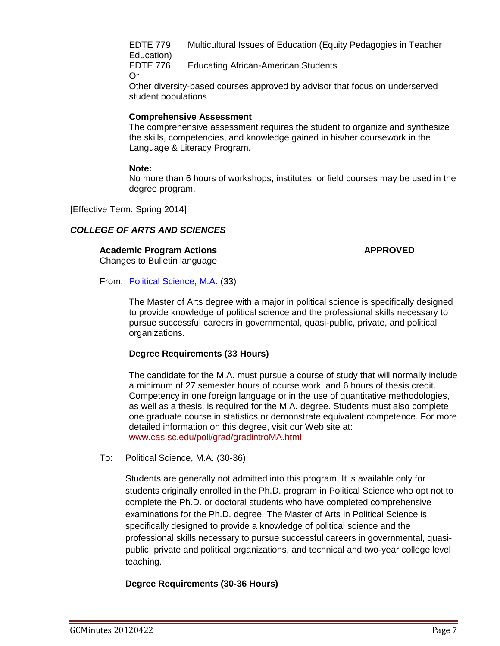EDTE 779 Multicultural Issues of Education (Equity Pedagogies in Teacher Education)<br>EDTE 776

**Educating African-American Students** Or

Other diversity-based courses approved by advisor that focus on underserved student populations

# **Comprehensive Assessment**

The comprehensive assessment requires the student to organize and synthesize the skills, competencies, and knowledge gained in his/her coursework in the Language & Literacy Program.

# **Note:**

No more than 6 hours of workshops, institutes, or field courses may be used in the degree program.

[Effective Term: Spring 2014]

# *COLLEGE OF ARTS AND SCIENCES*

# **Academic Program Actions APPROVED**

Changes to Bulletin language

From: [Political Science, M.A.](http://gradschool.sc.edu/facstaff/gradcouncil/2012/Political%20Science,%20M.A.%20APA%20BCH.pdf) (33)

The Master of Arts degree with a major in political science is specifically designed to provide knowledge of political science and the professional skills necessary to pursue successful careers in governmental, quasi-public, private, and political organizations.

# **Degree Requirements (33 Hours)**

The candidate for the M.A. must pursue a course of study that will normally include a minimum of 27 semester hours of course work, and 6 hours of thesis credit. Competency in one foreign language or in the use of quantitative methodologies, as well as a thesis, is required for the M.A. degree. Students must also complete one graduate course in statistics or demonstrate equivalent competence. For more detailed information on this degree, visit our Web site at: [www.cas.sc.edu/poli/grad/gradintroMA.html.](http://www.cas.sc.edu/poli/grad/gradintroMA.html)

To: Political Science, M.A. (30-36)

Students are generally not admitted into this program. It is available only for students originally enrolled in the Ph.D. program in Political Science who opt not to complete the Ph.D. or doctoral students who have completed comprehensive examinations for the Ph.D. degree. The Master of Arts in Political Science is specifically designed to provide a knowledge of political science and the professional skills necessary to pursue successful careers in governmental, quasipublic, private and political organizations, and technical and two-year college level teaching.

# **Degree Requirements (30-36 Hours)**